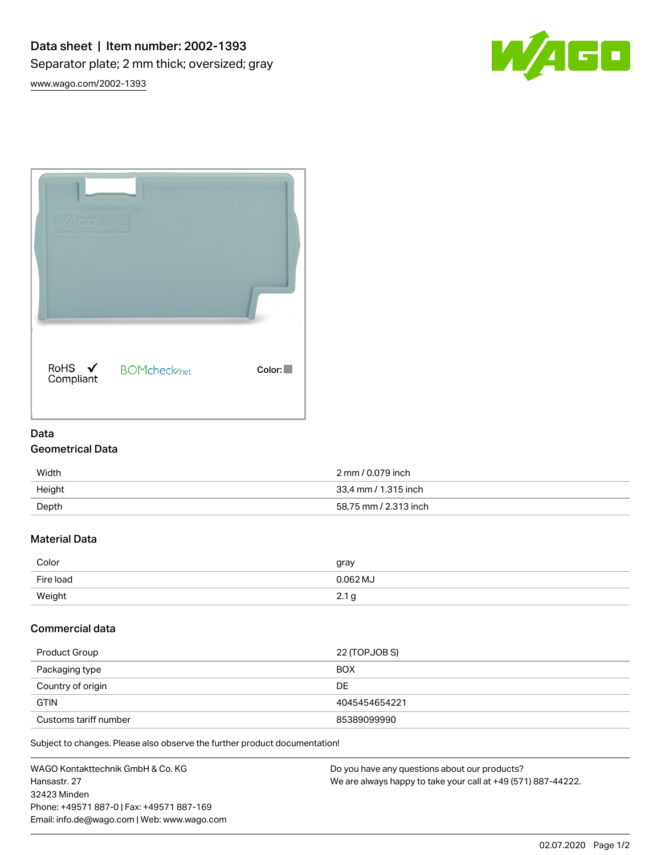



# Data

## Geometrical Data

| Width  | 2 mm / 0.079 inch     |
|--------|-----------------------|
| Height | 33.4 mm / 1.315 inch  |
| Depth  | 58,75 mm / 2.313 inch |

## Material Data

| Color     | gray                  |
|-----------|-----------------------|
| Fire load | $0.062$ MJ            |
| Weight    | $\sim$<br>$\sim$<br>Y |

#### Commercial data

| Product Group         | 22 (TOPJOB S) |
|-----------------------|---------------|
| Packaging type        | <b>BOX</b>    |
| Country of origin     | DE            |
| <b>GTIN</b>           | 4045454654221 |
| Customs tariff number | 85389099990   |

Subject to changes. Please also observe the further product documentation!

| WAGO Kontakttechnik GmbH & Co. KG           | Do you have any questions about our products?                 |
|---------------------------------------------|---------------------------------------------------------------|
| Hansastr, 27                                | We are always happy to take your call at +49 (571) 887-44222. |
| 32423 Minden                                |                                                               |
| Phone: +49571 887-0   Fax: +49571 887-169   |                                                               |
| Email: info.de@wago.com   Web: www.wago.com |                                                               |